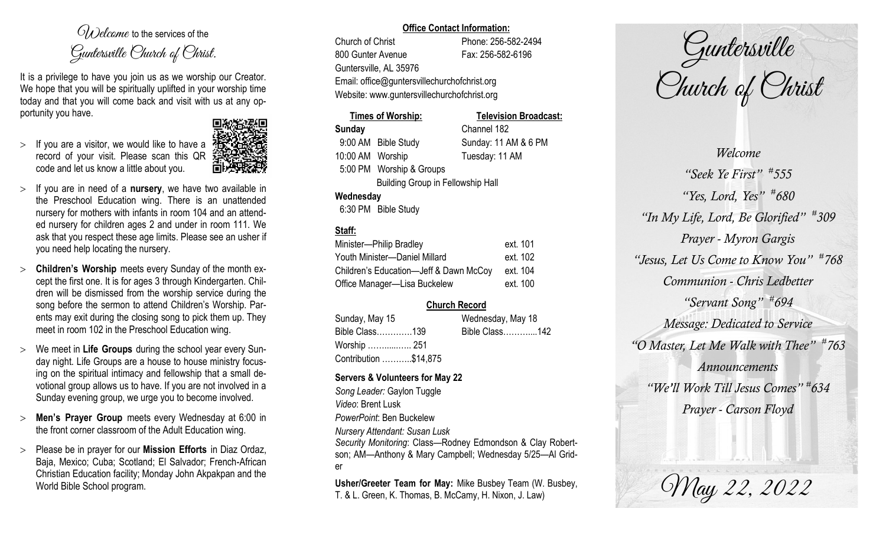$O(\lambda)$  elcame to the services of the Guntersville Church of Christ.

It is a privilege to have you join us as we worship our Creator. We hope that you will be spiritually uplifted in your worship time today and that you will come back and visit with us at any opportunity you have.

 $>$  If you are a visitor, we would like to have a record of your visit. Please scan this QR code and let us know a little about you.



- If you are in need of a **nursery**, we have two available in the Preschool Education wing. There is an unattended nursery for mothers with infants in room 104 and an attended nursery for children ages 2 and under in room 111. We ask that you respect these age limits. Please see an usher if you need help locating the nursery.
- **Children's Worship** meets every Sunday of the month except the first one. It is for ages 3 through Kindergarten. Children will be dismissed from the worship service during the song before the sermon to attend Children's Worship. Parents may exit during the closing song to pick them up. They meet in room 102 in the Preschool Education wing.
- We meet in **Life Groups** during the school year every Sunday night. Life Groups are a house to house ministry focusing on the spiritual intimacy and fellowship that a small devotional group allows us to have. If you are not involved in a Sunday evening group, we urge you to become involved.
- **Men's Prayer Group** meets every Wednesday at 6:00 in the front corner classroom of the Adult Education wing.
- Please be in prayer for our **Mission Efforts** in Diaz Ordaz, Baja, Mexico; Cuba; Scotland; El Salvador; French-African Christian Education facility; Monday John Akpakpan and the World Bible School program.

### **Office Contact Information:**

Church of Christ Phone: 256-582-2494 800 Gunter Avenue Fax: 256-582-6196 Guntersville, AL 35976 Email: office@guntersvillechurchofchrist.org Website: www.guntersvillechurchofchrist.org

### **Times of Worship: Television Broadcast: Sunday** Channel 182

9:00 AM Bible Study Sunday: 11 AM & 6 PM 10:00 AM Worship Tuesday: 11 AM 5:00 PM Worship & Groups Building Group in Fellowship Hall

### **Wednesday**

6:30 PM Bible Study

### **Staff:**

| Minister-Philip Bradley                | ext. 101 |
|----------------------------------------|----------|
| Youth Minister-Daniel Millard          | ext. 102 |
| Children's Education-Jeff & Dawn McCoy | ext. 104 |
| Office Manager-Lisa Buckelew           | ext. 100 |

### **Church Record**

| Sunday, May 15        | Wednesday, May 18 |                |  |
|-----------------------|-------------------|----------------|--|
| Bible Class139        |                   | Bible Class142 |  |
| Worship  251          |                   |                |  |
| Contribution \$14,875 |                   |                |  |

### **Servers & Volunteers for May 22**

*Song Leader:* Gaylon Tuggle *Video*: Brent Lusk *PowerPoint*: Ben Buckelew *Nursery Attendant: Susan Lusk*

*Security Monitoring*: Class—Rodney Edmondson & Clay Robertson; AM—Anthony & Mary Campbell; Wednesday 5/25—Al Grider

**Usher/Greeter Team for May:** Mike Busbey Team (W. Busbey, T. & L. Green, K. Thomas, B. McCamy, H. Nixon, J. Law)

Guntersville Church of Christ

*Welcome "Seek Ye First" # 555 "Yes, Lord, Yes" # 680 "In My Life, Lord, Be Glorified" # 309 Prayer - Myron Gargis "Jesus, Let Us Come to Know You" # 768 Communion - Chris Ledbetter "Servant Song" # 694 Message: Dedicated to Service "O Master, Let Me Walk with Thee" # 763 Announcements "We'll Work Till Jesus Comes" # 634 Prayer - Carson Floyd*

May 22, 2022